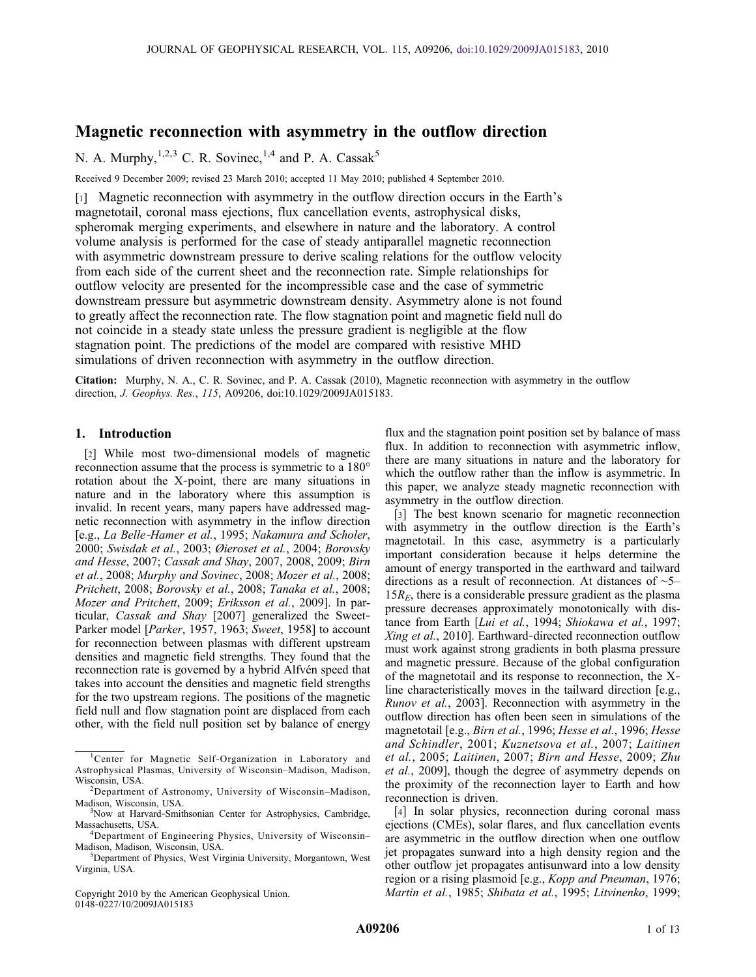# Magnetic reconnection with asymmetry in the outflow direction

N. A. Murphy,  $1,2,3$  C. R. Sovinec,  $1,4$  and P. A. Cassak<sup>5</sup>

Received 9 December 2009; revised 23 March 2010; accepted 11 May 2010; published 4 September 2010.

[1] Magnetic reconnection with asymmetry in the outflow direction occurs in the Earth's magnetotail, coronal mass ejections, flux cancellation events, astrophysical disks, spheromak merging experiments, and elsewhere in nature and the laboratory. A control volume analysis is performed for the case of steady antiparallel magnetic reconnection with asymmetric downstream pressure to derive scaling relations for the outflow velocity from each side of the current sheet and the reconnection rate. Simple relationships for outflow velocity are presented for the incompressible case and the case of symmetric downstream pressure but asymmetric downstream density. Asymmetry alone is not found to greatly affect the reconnection rate. The flow stagnation point and magnetic field null do not coincide in a steady state unless the pressure gradient is negligible at the flow stagnation point. The predictions of the model are compared with resistive MHD simulations of driven reconnection with asymmetry in the outflow direction.

Citation: Murphy, N. A., C. R. Sovinec, and P. A. Cassak (2010), Magnetic reconnection with asymmetry in the outflow direction, J. Geophys. Res., 115, A09206, doi:10.1029/2009JA015183.

## 1. Introduction

[2] While most two-dimensional models of magnetic reconnection assume that the process is symmetric to a 180° rotation about the X‐point, there are many situations in nature and in the laboratory where this assumption is invalid. In recent years, many papers have addressed magnetic reconnection with asymmetry in the inflow direction [e.g., La Belle‐Hamer et al., 1995; Nakamura and Scholer, 2000; Swisdak et al., 2003; Øieroset et al., 2004; Borovsky and Hesse, 2007; Cassak and Shay, 2007, 2008, 2009; Birn et al., 2008; Murphy and Sovinec, 2008; Mozer et al., 2008; Pritchett, 2008; Borovsky et al., 2008; Tanaka et al., 2008; Mozer and Pritchett, 2009; Eriksson et al., 2009]. In particular, Cassak and Shay [2007] generalized the Sweet-Parker model [Parker, 1957, 1963; Sweet, 1958] to account for reconnection between plasmas with different upstream densities and magnetic field strengths. They found that the reconnection rate is governed by a hybrid Alfvén speed that takes into account the densities and magnetic field strengths for the two upstream regions. The positions of the magnetic field null and flow stagnation point are displaced from each other, with the field null position set by balance of energy

Copyright 2010 by the American Geophysical Union. 0148‐0227/10/2009JA015183

flux and the stagnation point position set by balance of mass flux. In addition to reconnection with asymmetric inflow, there are many situations in nature and the laboratory for which the outflow rather than the inflow is asymmetric. In this paper, we analyze steady magnetic reconnection with asymmetry in the outflow direction.

[3] The best known scenario for magnetic reconnection with asymmetry in the outflow direction is the Earth's magnetotail. In this case, asymmetry is a particularly important consideration because it helps determine the amount of energy transported in the earthward and tailward directions as a result of reconnection. At distances of ∼5–  $15R_E$ , there is a considerable pressure gradient as the plasma pressure decreases approximately monotonically with distance from Earth [Lui et al., 1994; Shiokawa et al., 1997; Xing et al., 2010]. Earthward‐directed reconnection outflow must work against strong gradients in both plasma pressure and magnetic pressure. Because of the global configuration of the magnetotail and its response to reconnection, the X‐ line characteristically moves in the tailward direction [e.g., Runov et al., 2003]. Reconnection with asymmetry in the outflow direction has often been seen in simulations of the magnetotail [e.g., Birn et al., 1996; Hesse et al., 1996; Hesse and Schindler, 2001; Kuznetsova et al., 2007; Laitinen et al., 2005; Laitinen, 2007; Birn and Hesse, 2009; Zhu et al., 2009], though the degree of asymmetry depends on the proximity of the reconnection layer to Earth and how reconnection is driven.

[4] In solar physics, reconnection during coronal mass ejections (CMEs), solar flares, and flux cancellation events are asymmetric in the outflow direction when one outflow jet propagates sunward into a high density region and the other outflow jet propagates antisunward into a low density region or a rising plasmoid [e.g., Kopp and Pneuman, 1976; Martin et al., 1985; Shibata et al., 1995; Litvinenko, 1999;

<sup>1</sup> Center for Magnetic Self‐Organization in Laboratory and Astrophysical Plasmas, University of Wisconsin–Madison, Madison, Wisconsin, USA. <sup>2</sup>

<sup>&</sup>lt;sup>2</sup>Department of Astronomy, University of Wisconsin-Madison, Madison, Wisconsin, USA. <sup>3</sup>

<sup>&</sup>lt;sup>3</sup>Now at Harvard-Smithsonian Center for Astrophysics, Cambridge, Massachusetts, USA. <sup>4</sup>

Department of Engineering Physics, University of Wisconsin– Madison, Madison, Wisconsin, USA. <sup>5</sup>

Department of Physics, West Virginia University, Morgantown, West Virginia, USA.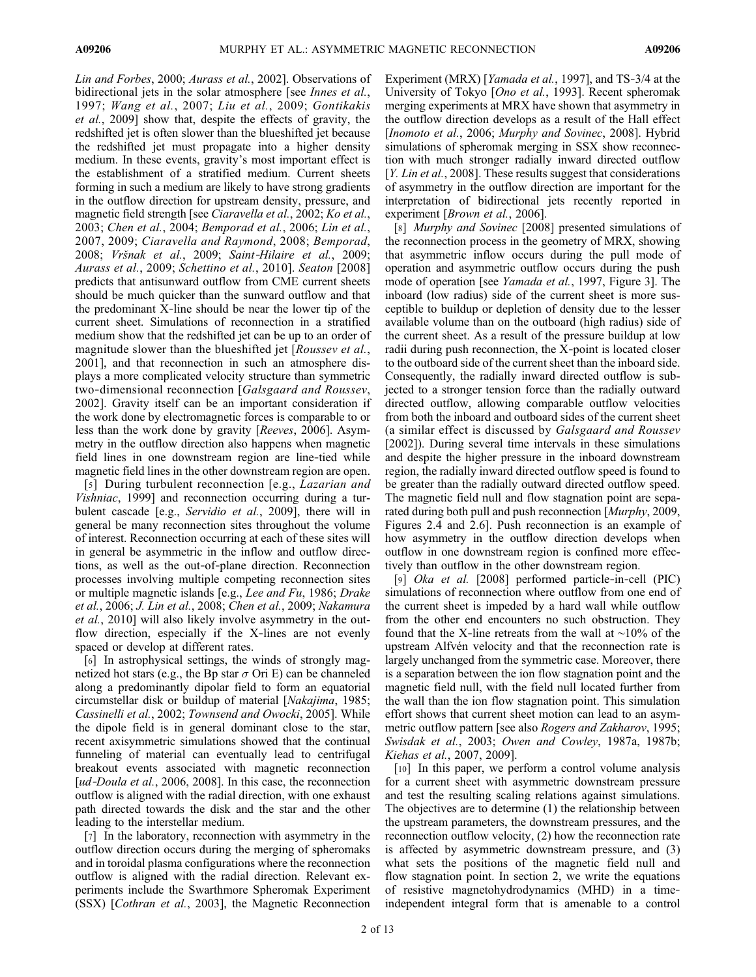Lin and Forbes, 2000; Aurass et al., 2002]. Observations of bidirectional jets in the solar atmosphere [see *Innes et al.*, 1997; Wang et al., 2007; Liu et al., 2009; Gontikakis et al., 2009] show that, despite the effects of gravity, the redshifted jet is often slower than the blueshifted jet because the redshifted jet must propagate into a higher density medium. In these events, gravity's most important effect is the establishment of a stratified medium. Current sheets forming in such a medium are likely to have strong gradients in the outflow direction for upstream density, pressure, and magnetic field strength [see *Ciaravella et al.*, 2002; *Ko et al.*, 2003; Chen et al., 2004; Bemporad et al., 2006; Lin et al., 2007, 2009; Ciaravella and Raymond, 2008; Bemporad, 2008; Vršnak et al., 2009; Saint‐Hilaire et al., 2009; Aurass et al., 2009; Schettino et al., 2010]. Seaton [2008] predicts that antisunward outflow from CME current sheets should be much quicker than the sunward outflow and that the predominant X‐line should be near the lower tip of the current sheet. Simulations of reconnection in a stratified medium show that the redshifted jet can be up to an order of magnitude slower than the blueshifted jet [Roussev et al., 2001], and that reconnection in such an atmosphere displays a more complicated velocity structure than symmetric two-dimensional reconnection [*Galsgaard and Roussev*, 2002]. Gravity itself can be an important consideration if the work done by electromagnetic forces is comparable to or less than the work done by gravity [Reeves, 2006]. Asymmetry in the outflow direction also happens when magnetic field lines in one downstream region are line‐tied while magnetic field lines in the other downstream region are open.

[5] During turbulent reconnection [e.g., *Lazarian and Vishniac*, 1999] and reconnection occurring during a turbulent cascade [e.g., Servidio et al., 2009], there will in general be many reconnection sites throughout the volume of interest. Reconnection occurring at each of these sites will in general be asymmetric in the inflow and outflow directions, as well as the out‐of‐plane direction. Reconnection processes involving multiple competing reconnection sites or multiple magnetic islands [e.g., Lee and Fu, 1986; Drake et al., 2006; J. Lin et al., 2008; Chen et al., 2009; Nakamura et al., 2010] will also likely involve asymmetry in the outflow direction, especially if the X-lines are not evenly spaced or develop at different rates.

[6] In astrophysical settings, the winds of strongly magnetized hot stars (e.g., the Bp star  $\sigma$  Ori E) can be channeled along a predominantly dipolar field to form an equatorial circumstellar disk or buildup of material [Nakajima, 1985; Cassinelli et al., 2002; Townsend and Owocki, 2005]. While the dipole field is in general dominant close to the star, recent axisymmetric simulations showed that the continual funneling of material can eventually lead to centrifugal breakout events associated with magnetic reconnection [ud-Doula et al., 2006, 2008]. In this case, the reconnection outflow is aligned with the radial direction, with one exhaust path directed towards the disk and the star and the other leading to the interstellar medium.

[7] In the laboratory, reconnection with asymmetry in the outflow direction occurs during the merging of spheromaks and in toroidal plasma configurations where the reconnection outflow is aligned with the radial direction. Relevant experiments include the Swarthmore Spheromak Experiment (SSX) [Cothran et al., 2003], the Magnetic Reconnection

Experiment (MRX) [*Yamada et al.*, 1997], and TS-3/4 at the University of Tokyo [Ono et al., 1993]. Recent spheromak merging experiments at MRX have shown that asymmetry in the outflow direction develops as a result of the Hall effect [Inomoto et al., 2006; Murphy and Sovinec, 2008]. Hybrid simulations of spheromak merging in SSX show reconnection with much stronger radially inward directed outflow [*Y. Lin et al.*, 2008]. These results suggest that considerations of asymmetry in the outflow direction are important for the interpretation of bidirectional jets recently reported in experiment [*Brown et al.*, 2006].

[8] Murphy and Sovinec [2008] presented simulations of the reconnection process in the geometry of MRX, showing that asymmetric inflow occurs during the pull mode of operation and asymmetric outflow occurs during the push mode of operation [see Yamada et al., 1997, Figure 3]. The inboard (low radius) side of the current sheet is more susceptible to buildup or depletion of density due to the lesser available volume than on the outboard (high radius) side of the current sheet. As a result of the pressure buildup at low radii during push reconnection, the X‐point is located closer to the outboard side of the current sheet than the inboard side. Consequently, the radially inward directed outflow is subjected to a stronger tension force than the radially outward directed outflow, allowing comparable outflow velocities from both the inboard and outboard sides of the current sheet (a similar effect is discussed by Galsgaard and Roussev [2002]). During several time intervals in these simulations and despite the higher pressure in the inboard downstream region, the radially inward directed outflow speed is found to be greater than the radially outward directed outflow speed. The magnetic field null and flow stagnation point are separated during both pull and push reconnection [Murphy, 2009, Figures 2.4 and 2.6]. Push reconnection is an example of how asymmetry in the outflow direction develops when outflow in one downstream region is confined more effectively than outflow in the other downstream region.

[9] Oka et al. [2008] performed particle‐in‐cell (PIC) simulations of reconnection where outflow from one end of the current sheet is impeded by a hard wall while outflow from the other end encounters no such obstruction. They found that the X‐line retreats from the wall at ∼10% of the upstream Alfvén velocity and that the reconnection rate is largely unchanged from the symmetric case. Moreover, there is a separation between the ion flow stagnation point and the magnetic field null, with the field null located further from the wall than the ion flow stagnation point. This simulation effort shows that current sheet motion can lead to an asymmetric outflow pattern [see also Rogers and Zakharov, 1995; Swisdak et al., 2003; Owen and Cowley, 1987a, 1987b; Kiehas et al., 2007, 2009].

[10] In this paper, we perform a control volume analysis for a current sheet with asymmetric downstream pressure and test the resulting scaling relations against simulations. The objectives are to determine (1) the relationship between the upstream parameters, the downstream pressures, and the reconnection outflow velocity, (2) how the reconnection rate is affected by asymmetric downstream pressure, and (3) what sets the positions of the magnetic field null and flow stagnation point. In section 2, we write the equations of resistive magnetohydrodynamics (MHD) in a time‐ independent integral form that is amenable to a control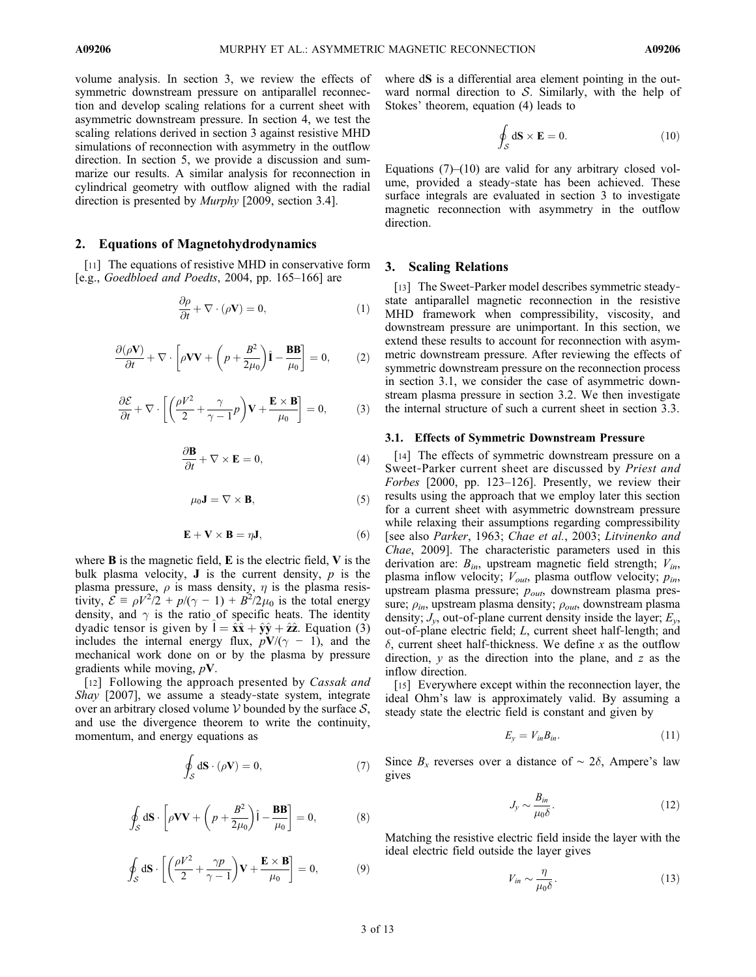volume analysis. In section 3, we review the effects of symmetric downstream pressure on antiparallel reconnection and develop scaling relations for a current sheet with asymmetric downstream pressure. In section 4, we test the scaling relations derived in section 3 against resistive MHD simulations of reconnection with asymmetry in the outflow direction. In section 5, we provide a discussion and summarize our results. A similar analysis for reconnection in cylindrical geometry with outflow aligned with the radial direction is presented by Murphy [2009, section 3.4].

#### 2. Equations of Magnetohydrodynamics

[11] The equations of resistive MHD in conservative form [e.g., Goedbloed and Poedts, 2004, pp. 165–166] are

$$
\frac{\partial \rho}{\partial t} + \nabla \cdot (\rho \mathbf{V}) = 0,\tag{1}
$$

$$
\frac{\partial(\rho \mathbf{V})}{\partial t} + \nabla \cdot \left[ \rho \mathbf{V} \mathbf{V} + \left( p + \frac{B^2}{2\mu_0} \right) \hat{\mathbf{I}} - \frac{\mathbf{B} \mathbf{B}}{\mu_0} \right] = 0, \quad (2)
$$

$$
\frac{\partial \mathcal{E}}{\partial t} + \nabla \cdot \left[ \left( \frac{\rho V^2}{2} + \frac{\gamma}{\gamma - 1} p \right) \mathbf{V} + \frac{\mathbf{E} \times \mathbf{B}}{\mu_0} \right] = 0, \quad (3)
$$

$$
\frac{\partial \mathbf{B}}{\partial t} + \nabla \times \mathbf{E} = 0, \tag{4}
$$

$$
\mu_0 \mathbf{J} = \nabla \times \mathbf{B},\tag{5}
$$

$$
\mathbf{E} + \mathbf{V} \times \mathbf{B} = \eta \mathbf{J},\tag{6}
$$

where  $\bf{B}$  is the magnetic field,  $\bf{E}$  is the electric field,  $\bf{V}$  is the bulk plasma velocity, **J** is the current density,  $p$  is the plasma pressure,  $\rho$  is mass density,  $\eta$  is the plasma resistivity,  $\mathcal{E} = \rho V^2/2 + p/(\gamma - 1) + B^2/2\mu_0$  is the total energy density, and  $\gamma$  is the ratio of specific heats. The identity dyadic tensor is given by  $I = \hat{\mathbf{x}} \hat{\mathbf{x}} + \hat{\mathbf{y}} \hat{\mathbf{y}} + \hat{\mathbf{z}} \hat{\mathbf{z}}$ . Equation (3) includes the internal energy flux,  $pV/(\gamma - 1)$ , and the mechanical work done on or by the plasma by pressure gradients while moving,  $pV$ .

[12] Following the approach presented by *Cassak and* Shay [2007], we assume a steady-state system, integrate over an arbitrary closed volume  $V$  bounded by the surface  $S$ , and use the divergence theorem to write the continuity, momentum, and energy equations as

$$
\oint_{\mathcal{S}} d\mathbf{S} \cdot (\rho \mathbf{V}) = 0,\tag{7}
$$

$$
\oint_{S} d\mathbf{S} \cdot \left[ \rho \mathbf{V} \mathbf{V} + \left( p + \frac{B^2}{2\mu_0} \right) \hat{\mathbf{i}} - \frac{\mathbf{B} \mathbf{B}}{\mu_0} \right] = 0, \tag{8}
$$

$$
\oint_{\mathcal{S}} d\mathbf{S} \cdot \left[ \left( \frac{\rho V^2}{2} + \frac{\gamma p}{\gamma - 1} \right) \mathbf{V} + \frac{\mathbf{E} \times \mathbf{B}}{\mu_0} \right] = 0, \tag{9}
$$

where  $dS$  is a differential area element pointing in the outward normal direction to  $S$ . Similarly, with the help of Stokes' theorem, equation (4) leads to

$$
\oint_{\mathcal{S}} d\mathbf{S} \times \mathbf{E} = 0. \tag{10}
$$

Equations  $(7)$ – $(10)$  are valid for any arbitrary closed volume, provided a steady‐state has been achieved. These surface integrals are evaluated in section 3 to investigate magnetic reconnection with asymmetry in the outflow direction.

#### 3. Scaling Relations

[13] The Sweet-Parker model describes symmetric steadystate antiparallel magnetic reconnection in the resistive MHD framework when compressibility, viscosity, and downstream pressure are unimportant. In this section, we extend these results to account for reconnection with asymmetric downstream pressure. After reviewing the effects of symmetric downstream pressure on the reconnection process in section 3.1, we consider the case of asymmetric downstream plasma pressure in section 3.2. We then investigate the internal structure of such a current sheet in section 3.3.

#### 3.1. Effects of Symmetric Downstream Pressure

[14] The effects of symmetric downstream pressure on a Sweet-Parker current sheet are discussed by Priest and Forbes [2000, pp. 123–126]. Presently, we review their results using the approach that we employ later this section for a current sheet with asymmetric downstream pressure while relaxing their assumptions regarding compressibility [see also Parker, 1963; Chae et al., 2003; Litvinenko and Chae, 2009]. The characteristic parameters used in this derivation are:  $B_{in}$ , upstream magnetic field strength;  $V_{in}$ , plasma inflow velocity;  $V_{out}$ , plasma outflow velocity;  $p_{in}$ , upstream plasma pressure;  $p_{out}$ , downstream plasma pressure;  $\rho_{in}$ , upstream plasma density;  $\rho_{out}$ , downstream plasma density;  $J_{\nu}$ , out-of-plane current density inside the layer;  $E_{\nu}$ , out‐of‐plane electric field; L, current sheet half‐length; and  $\delta$ , current sheet half-thickness. We define x as the outflow direction,  $y$  as the direction into the plane, and  $z$  as the inflow direction.

[15] Everywhere except within the reconnection layer, the ideal Ohm's law is approximately valid. By assuming a steady state the electric field is constant and given by

$$
E_y = V_{in} B_{in}.\tag{11}
$$

Since  $B_x$  reverses over a distance of ~ 2 $\delta$ , Ampere's law gives

$$
J_y \sim \frac{B_{in}}{\mu_0 \delta}.\tag{12}
$$

Matching the resistive electric field inside the layer with the ideal electric field outside the layer gives

$$
V_{in} \sim \frac{\eta}{\mu_0 \delta}.\tag{13}
$$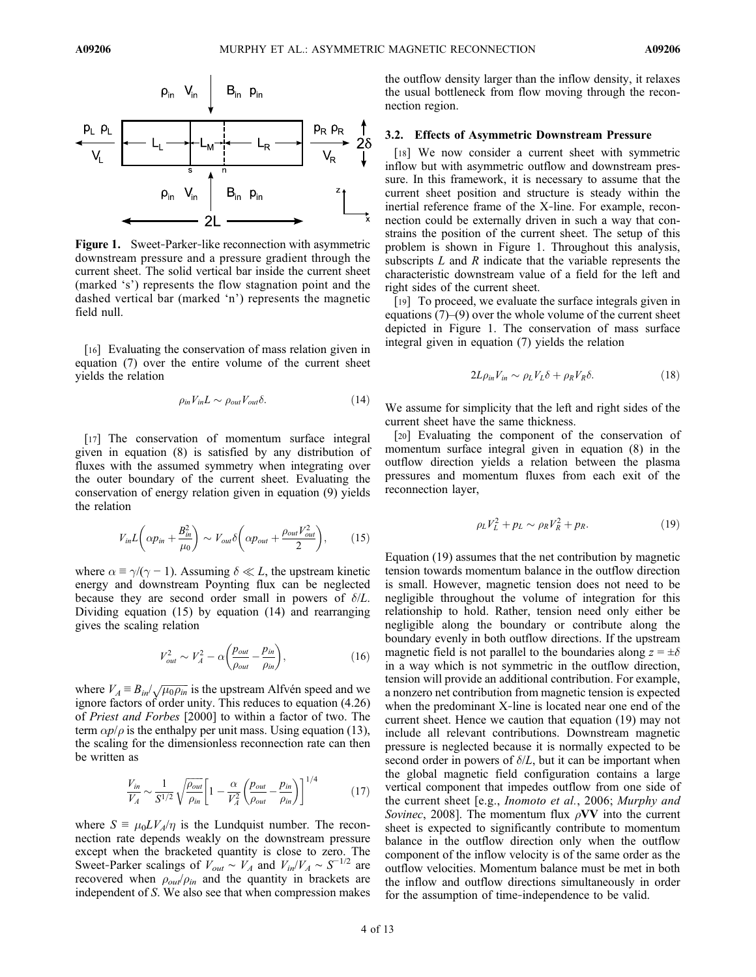

Figure 1. Sweet-Parker-like reconnection with asymmetric downstream pressure and a pressure gradient through the current sheet. The solid vertical bar inside the current sheet (marked 's') represents the flow stagnation point and the dashed vertical bar (marked 'n') represents the magnetic field null.

[16] Evaluating the conservation of mass relation given in equation (7) over the entire volume of the current sheet yields the relation

$$
\rho_{in}V_{in}L \sim \rho_{out}V_{out}\delta. \tag{14}
$$

[17] The conservation of momentum surface integral given in equation (8) is satisfied by any distribution of fluxes with the assumed symmetry when integrating over the outer boundary of the current sheet. Evaluating the conservation of energy relation given in equation (9) yields the relation

$$
V_{in}L\left(\alpha p_{in} + \frac{B_{in}^2}{\mu_0}\right) \sim V_{out}\delta\left(\alpha p_{out} + \frac{\rho_{out}V_{out}^2}{2}\right),\qquad(15)
$$

where  $\alpha \equiv \gamma/(\gamma - 1)$ . Assuming  $\delta \ll L$ , the upstream kinetic energy and downstream Poynting flux can be neglected because they are second order small in powers of  $\delta/L$ . Dividing equation (15) by equation (14) and rearranging gives the scaling relation

$$
V_{out}^2 \sim V_A^2 - \alpha \left(\frac{p_{out}}{\rho_{out}} - \frac{p_{in}}{\rho_{in}}\right),\tag{16}
$$

where  $V_A = B_{in} / \sqrt{\mu_0 \rho_{in}}$  is the upstream Alfvén speed and we ignore factors of order unity. This reduces to equation (4.26) of Priest and Forbes [2000] to within a factor of two. The term  $\alpha p/\rho$  is the enthalpy per unit mass. Using equation (13), the scaling for the dimensionless reconnection rate can then be written as

$$
\frac{V_{in}}{V_A} \sim \frac{1}{S^{1/2}} \sqrt{\frac{\rho_{out}}{\rho_{in}}} \left[ 1 - \frac{\alpha}{V_A^2} \left( \frac{p_{out}}{\rho_{out}} - \frac{p_{in}}{\rho_{in}} \right) \right]^{1/4} \tag{17}
$$

where  $S = \mu_0 L V_A / \eta$  is the Lundquist number. The reconnection rate depends weakly on the downstream pressure except when the bracketed quantity is close to zero. The Sweet-Parker scalings of  $V_{out} \sim V_A$  and  $V_{in}/V_A \sim S^{-1/2}$  are recovered when  $\rho_{out}/\rho_{in}$  and the quantity in brackets are independent of S. We also see that when compression makes the outflow density larger than the inflow density, it relaxes the usual bottleneck from flow moving through the reconnection region.

### 3.2. Effects of Asymmetric Downstream Pressure

[18] We now consider a current sheet with symmetric inflow but with asymmetric outflow and downstream pressure. In this framework, it is necessary to assume that the current sheet position and structure is steady within the inertial reference frame of the X‐line. For example, reconnection could be externally driven in such a way that constrains the position of the current sheet. The setup of this problem is shown in Figure 1. Throughout this analysis, subscripts  $L$  and  $R$  indicate that the variable represents the characteristic downstream value of a field for the left and right sides of the current sheet.

[19] To proceed, we evaluate the surface integrals given in equations (7)–(9) over the whole volume of the current sheet depicted in Figure 1. The conservation of mass surface integral given in equation (7) yields the relation

$$
2L\rho_{in}V_{in} \sim \rho_L V_L \delta + \rho_R V_R \delta. \tag{18}
$$

We assume for simplicity that the left and right sides of the current sheet have the same thickness.

[20] Evaluating the component of the conservation of momentum surface integral given in equation (8) in the outflow direction yields a relation between the plasma pressures and momentum fluxes from each exit of the reconnection layer,

$$
\rho_L V_L^2 + p_L \sim \rho_R V_R^2 + p_R. \tag{19}
$$

Equation (19) assumes that the net contribution by magnetic tension towards momentum balance in the outflow direction is small. However, magnetic tension does not need to be negligible throughout the volume of integration for this relationship to hold. Rather, tension need only either be negligible along the boundary or contribute along the boundary evenly in both outflow directions. If the upstream magnetic field is not parallel to the boundaries along  $z = \pm \delta$ in a way which is not symmetric in the outflow direction, tension will provide an additional contribution. For example, a nonzero net contribution from magnetic tension is expected when the predominant X-line is located near one end of the current sheet. Hence we caution that equation (19) may not include all relevant contributions. Downstream magnetic pressure is neglected because it is normally expected to be second order in powers of  $\delta/L$ , but it can be important when the global magnetic field configuration contains a large vertical component that impedes outflow from one side of the current sheet [e.g., Inomoto et al., 2006; Murphy and Sovinec, 2008]. The momentum flux  $\rho$ VV into the current sheet is expected to significantly contribute to momentum balance in the outflow direction only when the outflow component of the inflow velocity is of the same order as the outflow velocities. Momentum balance must be met in both the inflow and outflow directions simultaneously in order for the assumption of time-independence to be valid.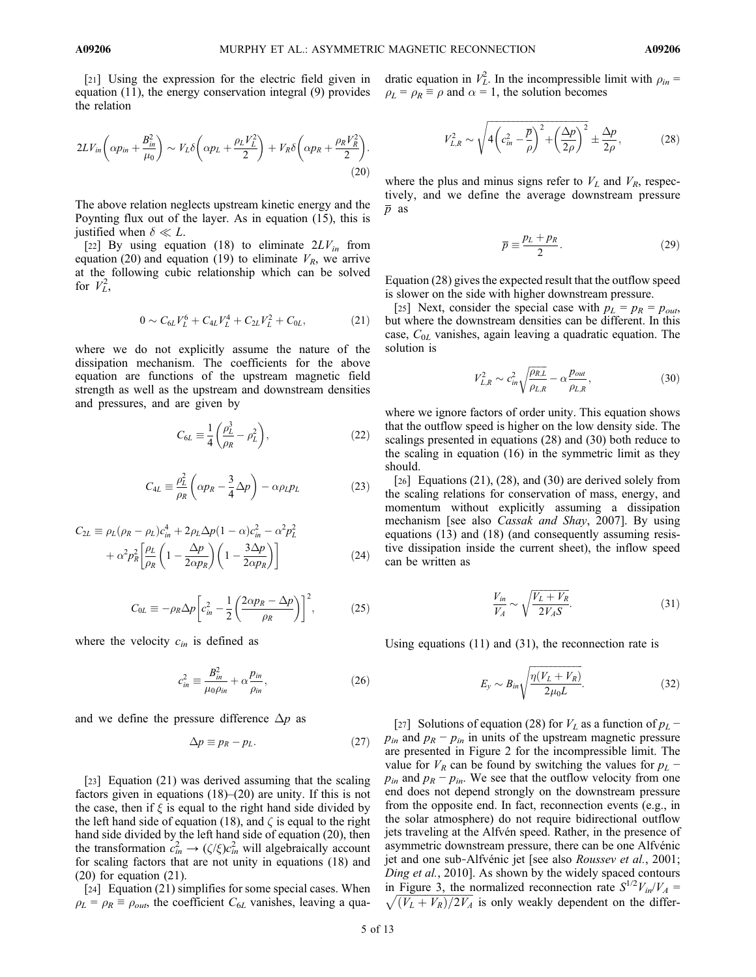[21] Using the expression for the electric field given in equation (11), the energy conservation integral (9) provides the relation

$$
2LV_{in}\left(\alpha p_{in} + \frac{B_{in}^2}{\mu_0}\right) \sim V_L \delta\left(\alpha p_L + \frac{\rho_L V_L^2}{2}\right) + V_R \delta\left(\alpha p_R + \frac{\rho_R V_R^2}{2}\right).
$$
\n(20)

The above relation neglects upstream kinetic energy and the Poynting flux out of the layer. As in equation (15), this is justified when  $\delta \ll L$ .

[22] By using equation (18) to eliminate  $2LV_{in}$  from equation (20) and equation (19) to eliminate  $V_R$ , we arrive at the following cubic relationship which can be solved for  $V_L^2$ ,

$$
0 \sim C_{6L} V_L^6 + C_{4L} V_L^4 + C_{2L} V_L^2 + C_{0L}, \qquad (21)
$$

where we do not explicitly assume the nature of the dissipation mechanism. The coefficients for the above equation are functions of the upstream magnetic field strength as well as the upstream and downstream densities and pressures, and are given by

$$
C_{6L} \equiv \frac{1}{4} \left( \frac{\rho_L^3}{\rho_R} - \rho_L^2 \right),\tag{22}
$$

$$
C_{4L} \equiv \frac{\rho_L^2}{\rho_R} \left( \alpha p_R - \frac{3}{4} \Delta p \right) - \alpha \rho_L p_L \tag{23}
$$

$$
C_{2L} \equiv \rho_L(\rho_R - \rho_L)c_{in}^4 + 2\rho_L\Delta p(1 - \alpha)c_{in}^2 - \alpha^2 p_L^2
$$

$$
+ \alpha^2 p_R^2 \left[ \frac{\rho_L}{\rho_R} \left( 1 - \frac{\Delta p}{2\alpha p_R} \right) \left( 1 - \frac{3\Delta p}{2\alpha p_R} \right) \right]
$$
(24)

$$
C_{0L} \equiv -\rho_R \Delta p \left[ c_{in}^2 - \frac{1}{2} \left( \frac{2\alpha p_R - \Delta p}{\rho_R} \right) \right]^2, \tag{25}
$$

where the velocity  $c_{in}$  is defined as

$$
c_{in}^2 \equiv \frac{B_{in}^2}{\mu_0 \rho_{in}} + \alpha \frac{p_{in}}{\rho_{in}},
$$
\n(26)

and we define the pressure difference  $\Delta p$  as

$$
\Delta p \equiv p_R - p_L. \tag{27}
$$

[23] Equation (21) was derived assuming that the scaling factors given in equations (18)–(20) are unity. If this is not the case, then if  $\xi$  is equal to the right hand side divided by the left hand side of equation (18), and  $\zeta$  is equal to the right hand side divided by the left hand side of equation (20), then the transformation  $c_{in}^2 \rightarrow (\zeta/\xi)c_{in}^2$  will algebraically account for scaling factors that are not unity in equations (18) and (20) for equation (21).

[24] Equation (21) simplifies for some special cases. When  $\rho_L = \rho_R \equiv \rho_{out}$ , the coefficient  $C_{6L}$  vanishes, leaving a quadratic equation in  $V_L^2$ . In the incompressible limit with  $\rho_{in}$  =

$$
V_{L,R}^2 \sim \sqrt{4\left(c_{in}^2 - \frac{\overline{p}}{\rho}\right)^2 + \left(\frac{\Delta p}{2\rho}\right)^2} \pm \frac{\Delta p}{2\rho},\tag{28}
$$

where the plus and minus signs refer to  $V<sub>L</sub>$  and  $V<sub>R</sub>$ , respectively, and we define the average downstream pressure  $\overline{p}$  as

 $\rho_L = \rho_R \equiv \rho$  and  $\alpha = 1$ , the solution becomes

$$
\overline{p} \equiv \frac{p_L + p_R}{2}.
$$
\n(29)

Equation (28) gives the expected result that the outflow speed is slower on the side with higher downstream pressure.

[25] Next, consider the special case with  $p_L = p_R = p_{out}$ , but where the downstream densities can be different. In this case,  $C_{0L}$  vanishes, again leaving a quadratic equation. The solution is

$$
V_{L,R}^2 \sim c_{in}^2 \sqrt{\frac{\rho_{R,L}}{\rho_{L,R}}} - \alpha \frac{p_{out}}{\rho_{L,R}},
$$
\n(30)

where we ignore factors of order unity. This equation shows that the outflow speed is higher on the low density side. The scalings presented in equations (28) and (30) both reduce to the scaling in equation (16) in the symmetric limit as they should.

[26] Equations  $(21)$ ,  $(28)$ , and  $(30)$  are derived solely from the scaling relations for conservation of mass, energy, and momentum without explicitly assuming a dissipation mechanism [see also Cassak and Shay, 2007]. By using equations (13) and (18) (and consequently assuming resistive dissipation inside the current sheet), the inflow speed can be written as

$$
\frac{V_{in}}{V_A} \sim \sqrt{\frac{V_L + V_R}{2V_A S}}.\tag{31}
$$

Using equations (11) and (31), the reconnection rate is

$$
E_y \sim B_{in} \sqrt{\frac{\eta (V_L + V_R)}{2\mu_0 L}}.\tag{32}
$$

[27] Solutions of equation (28) for  $V_L$  as a function of  $p_L$  –  $p_{in}$  and  $p_R - p_{in}$  in units of the upstream magnetic pressure are presented in Figure 2 for the incompressible limit. The value for  $V_R$  can be found by switching the values for  $p_L$  −  $p_{in}$  and  $p_R - p_{in}$ . We see that the outflow velocity from one end does not depend strongly on the downstream pressure from the opposite end. In fact, reconnection events (e.g., in the solar atmosphere) do not require bidirectional outflow jets traveling at the Alfvén speed. Rather, in the presence of asymmetric downstream pressure, there can be one Alfvénic jet and one sub‐Alfvénic jet [see also Roussev et al., 2001; Ding et al., 2010]. As shown by the widely spaced contours in Figure 3, the normalized reconnection rate  $S^{1/2}V_{in}/V_A$  =  $\sqrt{(V_L + V_R)/2V_A}$  is only weakly dependent on the differ-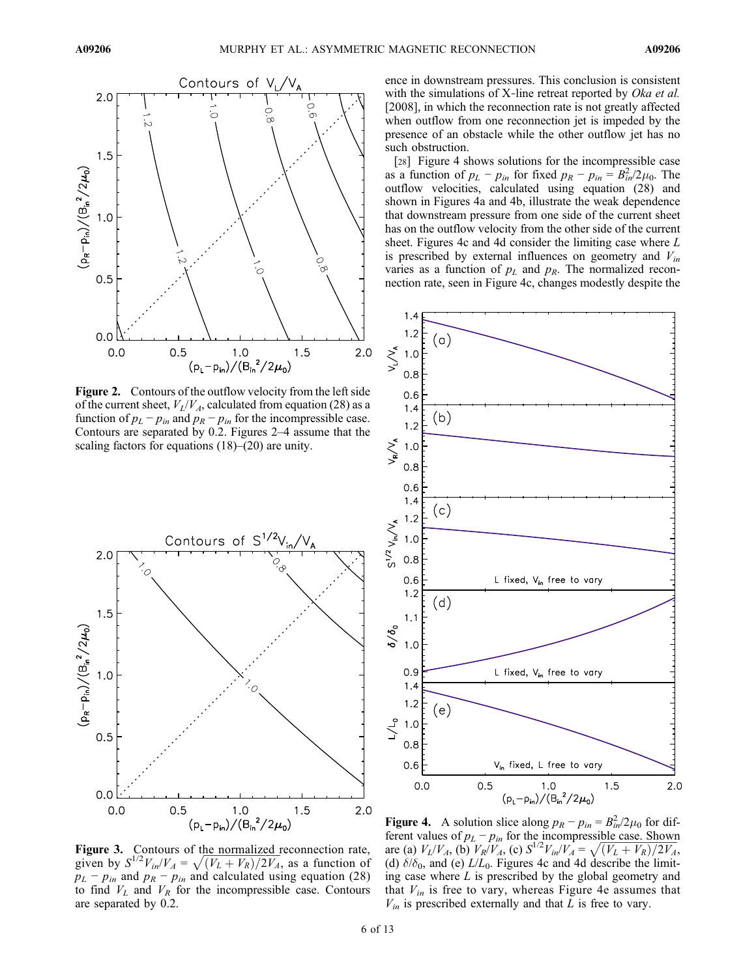

Figure 2. Contours of the outflow velocity from the left side of the current sheet,  $V_L/V_A$ , calculated from equation (28) as a function of  $p_L - p_{in}$  and  $p_R - p_{in}$  for the incompressible case. Contours are separated by 0.2. Figures 2–4 assume that the scaling factors for equations (18)–(20) are unity.



**Figure 3.** Contours of the normalized reconnection rate, given by  $S^{1/2}V_{in}/V_A = \sqrt{(V_L + V_R)/2V_A}$ , as a function of  $p_L - p_{in}$  and  $p_R - p_{in}$  and calculated using equation (28) to find  $V_L$  and  $V_R$  for the incompressible case. Contours are separated by 0.2.

ence in downstream pressures. This conclusion is consistent with the simulations of X-line retreat reported by Oka et al. [2008], in which the reconnection rate is not greatly affected when outflow from one reconnection jet is impeded by the presence of an obstacle while the other outflow jet has no such obstruction.

[28] Figure 4 shows solutions for the incompressible case as a function of  $p_L - p_{in}$  for fixed  $p_R - p_{in} = B_{in}^2/2\mu_0$ . The outflow velocities, calculated using equation (28) and shown in Figures 4a and 4b, illustrate the weak dependence that downstream pressure from one side of the current sheet has on the outflow velocity from the other side of the current sheet. Figures 4c and 4d consider the limiting case where L is prescribed by external influences on geometry and  $V_{in}$ varies as a function of  $p<sub>L</sub>$  and  $p<sub>R</sub>$ . The normalized reconnection rate, seen in Figure 4c, changes modestly despite the



**Figure 4.** A solution slice along  $p_R - p_{in} = B_{in}^2/2\mu_0$  for different values of  $p_L - p_{in}$  for the incompressible case. Shown **Figure 4.** A solution slice along  $p_R - p_{in} = B_{in}^2/2\mu_0$  for difare (a)  $V_L/V_A$ , (b)  $V_R/V_A$ , (c)  $S^{1/2}V_{in}/V_A = \sqrt{(V_L + V_R)/2V_A}$ , (d)  $\delta/\delta_0$ , and (e)  $L/L_0$ . Figures 4c and 4d describe the limiting case where  $L$  is prescribed by the global geometry and that  $V_{in}$  is free to vary, whereas Figure 4e assumes that  $V_{in}$  is prescribed externally and that L is free to vary.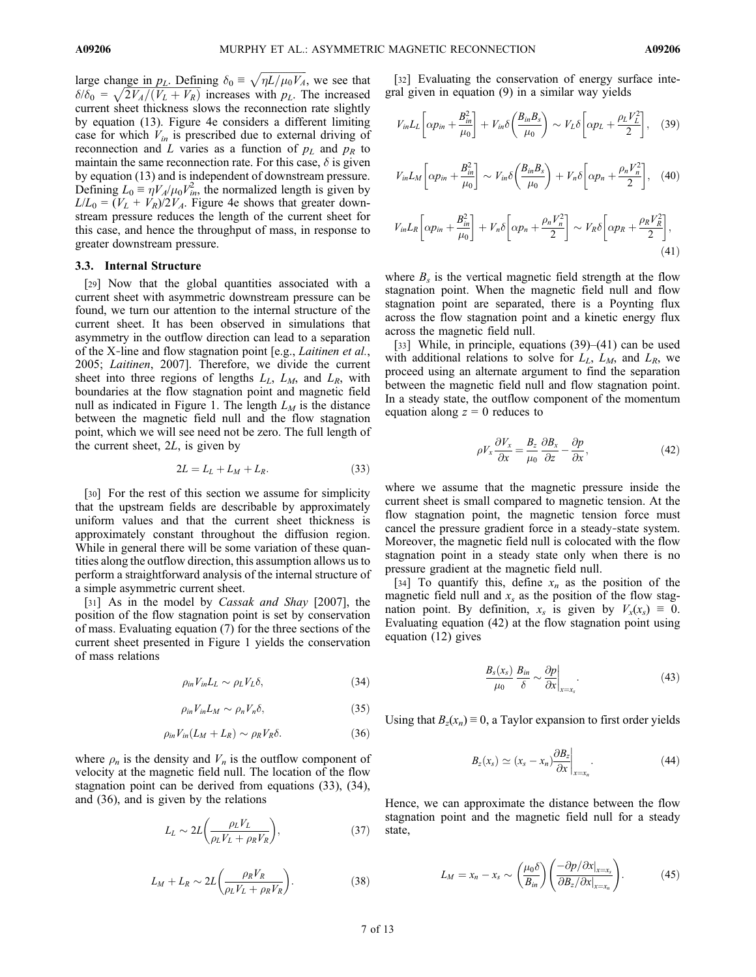large change in  $p_L$ . Defining  $\delta_0 \equiv \sqrt{\eta L / \mu_0 V_A}$ , we see that  $\delta/\delta_0 = \sqrt{2V_A/(V_L + V_R)}$  increases with  $p_L$ . The increased current sheet thickness slows the reconnection rate slightly by equation (13). Figure 4e considers a different limiting case for which  $V_{in}$  is prescribed due to external driving of reconnection and L varies as a function of  $p<sub>L</sub>$  and  $p<sub>R</sub>$  to maintain the same reconnection rate. For this case,  $\delta$  is given by equation (13) and is independent of downstream pressure. Defining  $L_0 \equiv \eta V_A / \mu_0 V_{in}^2$ , the normalized length is given by  $L/L_0 = (V_L + V_R)/2V_A$ . Figure 4e shows that greater downstream pressure reduces the length of the current sheet for this case, and hence the throughput of mass, in response to greater downstream pressure.

#### 3.3. Internal Structure

[29] Now that the global quantities associated with a current sheet with asymmetric downstream pressure can be found, we turn our attention to the internal structure of the current sheet. It has been observed in simulations that asymmetry in the outflow direction can lead to a separation of the X-line and flow stagnation point [e.g., *Laitinen et al.*, 2005; Laitinen, 2007]. Therefore, we divide the current sheet into three regions of lengths  $L_L$ ,  $L_M$ , and  $L_R$ , with boundaries at the flow stagnation point and magnetic field null as indicated in Figure 1. The length  $L_M$  is the distance between the magnetic field null and the flow stagnation point, which we will see need not be zero. The full length of the current sheet, 2L, is given by

$$
2L = L_L + L_M + L_R. \tag{33}
$$

[30] For the rest of this section we assume for simplicity that the upstream fields are describable by approximately uniform values and that the current sheet thickness is approximately constant throughout the diffusion region. While in general there will be some variation of these quantities along the outflow direction, this assumption allows us to perform a straightforward analysis of the internal structure of a simple asymmetric current sheet.

[31] As in the model by *Cassak and Shay* [2007], the position of the flow stagnation point is set by conservation of mass. Evaluating equation (7) for the three sections of the current sheet presented in Figure 1 yields the conservation of mass relations

$$
\rho_{in}V_{in}L_L \sim \rho_L V_L \delta, \qquad (34)
$$

$$
\rho_{in}V_{in}L_M \sim \rho_n V_n \delta,
$$
\n(35)

$$
\rho_{in}V_{in}(L_M + L_R) \sim \rho_R V_R \delta. \tag{36}
$$

where  $\rho_n$  is the density and  $V_n$  is the outflow component of velocity at the magnetic field null. The location of the flow stagnation point can be derived from equations (33), (34), and (36), and is given by the relations

$$
L_L \sim 2L \left( \frac{\rho_L V_L}{\rho_L V_L + \rho_R V_R} \right),\tag{37}
$$

$$
L_M + L_R \sim 2L \left( \frac{\rho_R V_R}{\rho_L V_L + \rho_R V_R} \right). \tag{38}
$$

[32] Evaluating the conservation of energy surface integral given in equation (9) in a similar way yields

$$
V_{in}L_{L}\left[\alpha p_{in} + \frac{B_{in}^{2}}{\mu_{0}}\right] + V_{in}\delta\left(\frac{B_{in}B_{s}}{\mu_{0}}\right) \sim V_{L}\delta\left[\alpha p_{L} + \frac{\rho_{L}V_{L}^{2}}{2}\right], \quad (39)
$$

$$
V_{in}L_M\left[\alpha p_{in} + \frac{B_{in}^2}{\mu_0}\right] \sim V_{in}\delta\left(\frac{B_{in}B_s}{\mu_0}\right) + V_n\delta\left[\alpha p_n + \frac{\rho_n V_n^2}{2}\right], \quad (40)
$$

$$
V_{in}L_R\left[\alpha p_{in} + \frac{B_{in}^2}{\mu_0}\right] + V_n\delta\left[\alpha p_n + \frac{\rho_n V_n^2}{2}\right] \sim V_R\delta\left[\alpha p_R + \frac{\rho_R V_R^2}{2}\right],\tag{41}
$$

where  $B_s$  is the vertical magnetic field strength at the flow stagnation point. When the magnetic field null and flow stagnation point are separated, there is a Poynting flux across the flow stagnation point and a kinetic energy flux across the magnetic field null.

[33] While, in principle, equations (39)–(41) can be used with additional relations to solve for  $L_L$ ,  $L_M$ , and  $L_R$ , we proceed using an alternate argument to find the separation between the magnetic field null and flow stagnation point. In a steady state, the outflow component of the momentum equation along  $z = 0$  reduces to

$$
\rho V_x \frac{\partial V_x}{\partial x} = \frac{B_z}{\mu_0} \frac{\partial B_x}{\partial z} - \frac{\partial p}{\partial x},\tag{42}
$$

where we assume that the magnetic pressure inside the current sheet is small compared to magnetic tension. At the flow stagnation point, the magnetic tension force must cancel the pressure gradient force in a steady‐state system. Moreover, the magnetic field null is colocated with the flow stagnation point in a steady state only when there is no pressure gradient at the magnetic field null.

[34] To quantify this, define  $x_n$  as the position of the magnetic field null and  $x_s$  as the position of the flow stagnation point. By definition,  $x_s$  is given by  $V_x(x_s) \equiv 0$ . Evaluating equation (42) at the flow stagnation point using equation (12) gives

$$
\frac{B_s(x_s)}{\mu_0} \frac{B_{in}}{\delta} \sim \frac{\partial p}{\partial x}\bigg|_{x=x_s}.
$$
\n(43)

Using that  $B_z(x_n) \equiv 0$ , a Taylor expansion to first order yields

$$
B_z(x_s) \simeq (x_s - x_n) \frac{\partial B_z}{\partial x}\bigg|_{x=x_n}.
$$
\n(44)

Hence, we can approximate the distance between the flow stagnation point and the magnetic field null for a steady state,

$$
L_M = x_n - x_s \sim \left(\frac{\mu_0 \delta}{B_{in}}\right) \left(\frac{-\partial p/\partial x|_{x=x_s}}{\partial B_z/\partial x|_{x=x_n}}\right). \tag{45}
$$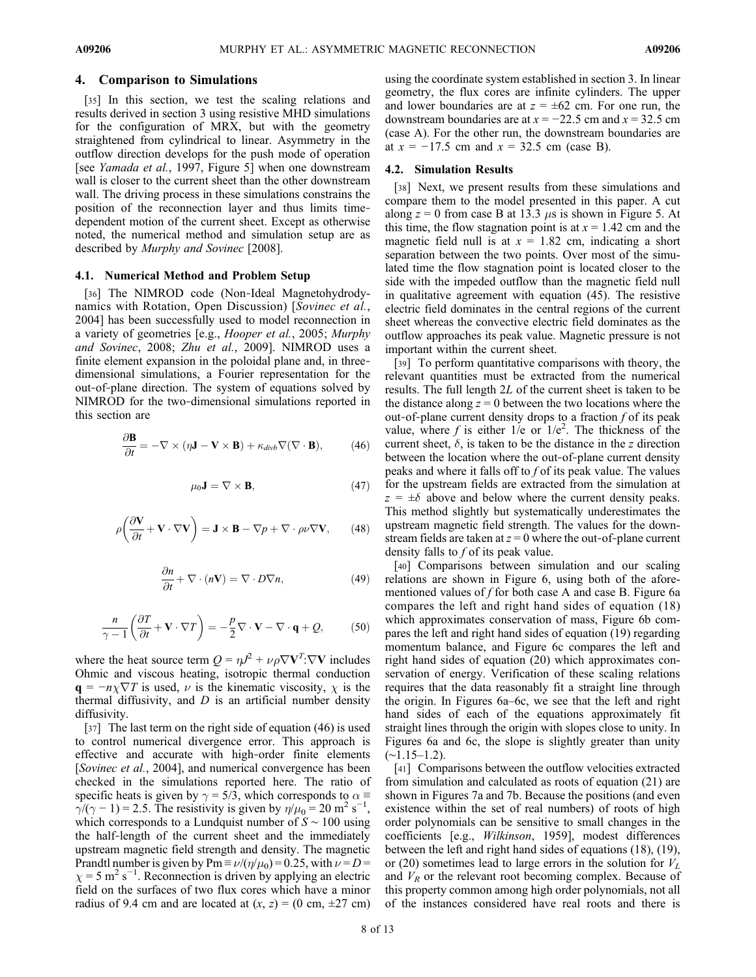#### 4. Comparison to Simulations

[35] In this section, we test the scaling relations and results derived in section 3 using resistive MHD simulations for the configuration of MRX, but with the geometry straightened from cylindrical to linear. Asymmetry in the outflow direction develops for the push mode of operation [see *Yamada et al.*, 1997, Figure 5] when one downstream wall is closer to the current sheet than the other downstream wall. The driving process in these simulations constrains the position of the reconnection layer and thus limits time‐ dependent motion of the current sheet. Except as otherwise noted, the numerical method and simulation setup are as described by Murphy and Sovinec [2008].

## 4.1. Numerical Method and Problem Setup

[36] The NIMROD code (Non-Ideal Magnetohydrodynamics with Rotation, Open Discussion) [Sovinec et al., 2004] has been successfully used to model reconnection in a variety of geometries [e.g., Hooper et al., 2005; Murphy and Sovinec, 2008; Zhu et al., 2009]. NIMROD uses a finite element expansion in the poloidal plane and, in threedimensional simulations, a Fourier representation for the out‐of‐plane direction. The system of equations solved by NIMROD for the two-dimensional simulations reported in this section are

$$
\frac{\partial \mathbf{B}}{\partial t} = -\nabla \times (\eta \mathbf{J} - \mathbf{V} \times \mathbf{B}) + \kappa_{divb} \nabla (\nabla \cdot \mathbf{B}), \tag{46}
$$

$$
\mu_0 \mathbf{J} = \nabla \times \mathbf{B},\tag{47}
$$

$$
\rho \left( \frac{\partial \mathbf{V}}{\partial t} + \mathbf{V} \cdot \nabla \mathbf{V} \right) = \mathbf{J} \times \mathbf{B} - \nabla p + \nabla \cdot \rho \nu \nabla \mathbf{V}, \qquad (48)
$$

$$
\frac{\partial n}{\partial t} + \nabla \cdot (n\mathbf{V}) = \nabla \cdot D\nabla n, \qquad (49)
$$

$$
\frac{n}{\gamma - 1} \left( \frac{\partial T}{\partial t} + \mathbf{V} \cdot \nabla T \right) = -\frac{p}{2} \nabla \cdot \mathbf{V} - \nabla \cdot \mathbf{q} + \mathcal{Q},\tag{50}
$$

where the heat source term  $Q = \eta J^2 + \nu \rho \nabla V^T \cdot \nabla V$  includes Ohmic and viscous heating, isotropic thermal conduction  $\mathbf{q} = -n\chi \nabla T$  is used,  $\nu$  is the kinematic viscosity,  $\chi$  is the thermal diffusivity, and  $D$  is an artificial number density diffusivity.

[37] The last term on the right side of equation (46) is used to control numerical divergence error. This approach is effective and accurate with high‐order finite elements [*Sovinec et al.*, 2004], and numerical convergence has been checked in the simulations reported here. The ratio of specific heats is given by  $\gamma = 5/3$ , which corresponds to  $\alpha \equiv$  $\gamma/(\gamma - 1) = 2.5$ . The resistivity is given by  $\eta/\mu_0 = 20 \text{ m}^2 \text{ s}^{-1}$ , which corresponds to a Lundquist number of  $S \sim 100$  using the half‐length of the current sheet and the immediately upstream magnetic field strength and density. The magnetic Prandtl number is given by Pm  $\equiv \nu/(\eta/\mu_0) = 0.25$ , with  $\nu = D =$  $\chi$  = 5 m<sup>2</sup> s<sup>-1</sup>. Reconnection is driven by applying an electric field on the surfaces of two flux cores which have a minor radius of 9.4 cm and are located at  $(x, z) = (0 \text{ cm}, \pm 27 \text{ cm})$ 

using the coordinate system established in section 3. In linear geometry, the flux cores are infinite cylinders. The upper and lower boundaries are at  $z = \pm 62$  cm. For one run, the downstream boundaries are at  $x = -22.5$  cm and  $x = 32.5$  cm (case A). For the other run, the downstream boundaries are at  $x = -17.5$  cm and  $x = 32.5$  cm (case B).

### 4.2. Simulation Results

[38] Next, we present results from these simulations and compare them to the model presented in this paper. A cut along  $z = 0$  from case B at 13.3  $\mu$ s is shown in Figure 5. At this time, the flow stagnation point is at  $x = 1.42$  cm and the magnetic field null is at  $x = 1.82$  cm, indicating a short separation between the two points. Over most of the simulated time the flow stagnation point is located closer to the side with the impeded outflow than the magnetic field null in qualitative agreement with equation (45). The resistive electric field dominates in the central regions of the current sheet whereas the convective electric field dominates as the outflow approaches its peak value. Magnetic pressure is not important within the current sheet.

[39] To perform quantitative comparisons with theory, the relevant quantities must be extracted from the numerical results. The full length 2L of the current sheet is taken to be the distance along  $z = 0$  between the two locations where the out-of-plane current density drops to a fraction  $f$  of its peak value, where f is either  $1/e$  or  $1/e^2$ . The thickness of the current sheet,  $\delta$ , is taken to be the distance in the z direction between the location where the out‐of‐plane current density peaks and where it falls off to f of its peak value. The values for the upstream fields are extracted from the simulation at  $z = \pm \delta$  above and below where the current density peaks. This method slightly but systematically underestimates the upstream magnetic field strength. The values for the downstream fields are taken at  $z = 0$  where the out-of-plane current density falls to f of its peak value.

[40] Comparisons between simulation and our scaling relations are shown in Figure 6, using both of the aforementioned values of  $f$  for both case A and case B. Figure 6a compares the left and right hand sides of equation (18) which approximates conservation of mass, Figure 6b compares the left and right hand sides of equation (19) regarding momentum balance, and Figure 6c compares the left and right hand sides of equation (20) which approximates conservation of energy. Verification of these scaling relations requires that the data reasonably fit a straight line through the origin. In Figures 6a–6c, we see that the left and right hand sides of each of the equations approximately fit straight lines through the origin with slopes close to unity. In Figures 6a and 6c, the slope is slightly greater than unity  $(∼1.15–1.2)$ .

[41] Comparisons between the outflow velocities extracted from simulation and calculated as roots of equation (21) are shown in Figures 7a and 7b. Because the positions (and even existence within the set of real numbers) of roots of high order polynomials can be sensitive to small changes in the coefficients [e.g., Wilkinson, 1959], modest differences between the left and right hand sides of equations (18), (19), or (20) sometimes lead to large errors in the solution for  $V_L$ and  $V_R$  or the relevant root becoming complex. Because of this property common among high order polynomials, not all of the instances considered have real roots and there is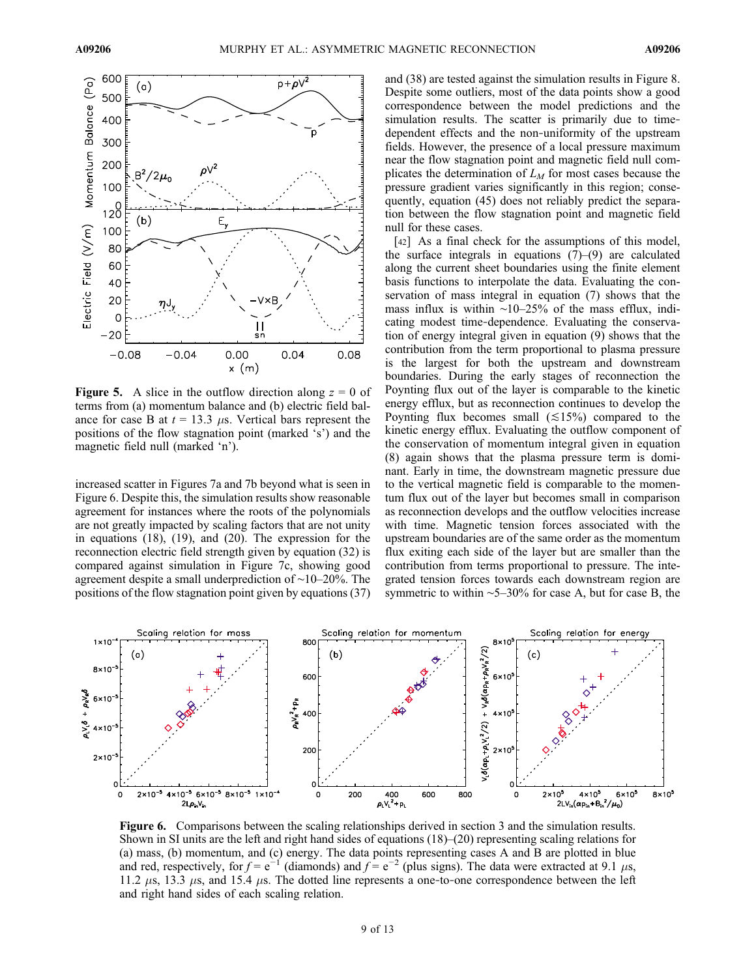

**Figure 5.** A slice in the outflow direction along  $z = 0$  of terms from (a) momentum balance and (b) electric field balance for case B at  $t = 13.3 \mu s$ . Vertical bars represent the positions of the flow stagnation point (marked 's') and the magnetic field null (marked 'n').

increased scatter in Figures 7a and 7b beyond what is seen in Figure 6. Despite this, the simulation results show reasonable agreement for instances where the roots of the polynomials are not greatly impacted by scaling factors that are not unity in equations (18), (19), and (20). The expression for the reconnection electric field strength given by equation (32) is compared against simulation in Figure 7c, showing good agreement despite a small underprediction of ∼10–20%. The positions of the flow stagnation point given by equations (37) and (38) are tested against the simulation results in Figure 8. Despite some outliers, most of the data points show a good correspondence between the model predictions and the simulation results. The scatter is primarily due to timedependent effects and the non‐uniformity of the upstream fields. However, the presence of a local pressure maximum near the flow stagnation point and magnetic field null complicates the determination of  $L_M$  for most cases because the pressure gradient varies significantly in this region; consequently, equation (45) does not reliably predict the separation between the flow stagnation point and magnetic field null for these cases.

[42] As a final check for the assumptions of this model, the surface integrals in equations  $(7)$ – $(9)$  are calculated along the current sheet boundaries using the finite element basis functions to interpolate the data. Evaluating the conservation of mass integral in equation (7) shows that the mass influx is within ∼10–25% of the mass efflux, indicating modest time‐dependence. Evaluating the conservation of energy integral given in equation (9) shows that the contribution from the term proportional to plasma pressure is the largest for both the upstream and downstream boundaries. During the early stages of reconnection the Poynting flux out of the layer is comparable to the kinetic energy efflux, but as reconnection continues to develop the Poynting flux becomes small  $(\leq 15\%)$  compared to the kinetic energy efflux. Evaluating the outflow component of the conservation of momentum integral given in equation (8) again shows that the plasma pressure term is dominant. Early in time, the downstream magnetic pressure due to the vertical magnetic field is comparable to the momentum flux out of the layer but becomes small in comparison as reconnection develops and the outflow velocities increase with time. Magnetic tension forces associated with the upstream boundaries are of the same order as the momentum flux exiting each side of the layer but are smaller than the contribution from terms proportional to pressure. The integrated tension forces towards each downstream region are symmetric to within ∼5–30% for case A, but for case B, the



Figure 6. Comparisons between the scaling relationships derived in section 3 and the simulation results. Shown in SI units are the left and right hand sides of equations  $(18)$ – $(20)$  representing scaling relations for (a) mass, (b) momentum, and (c) energy. The data points representing cases A and B are plotted in blue and red, respectively, for  $f = e^{-1}$  (diamonds) and  $f = e^{-2}$  (plus signs). The data were extracted at 9.1  $\mu$ s, 11.2  $\mu$ s, 13.3  $\mu$ s, and 15.4  $\mu$ s. The dotted line represents a one-to-one correspondence between the left and right hand sides of each scaling relation.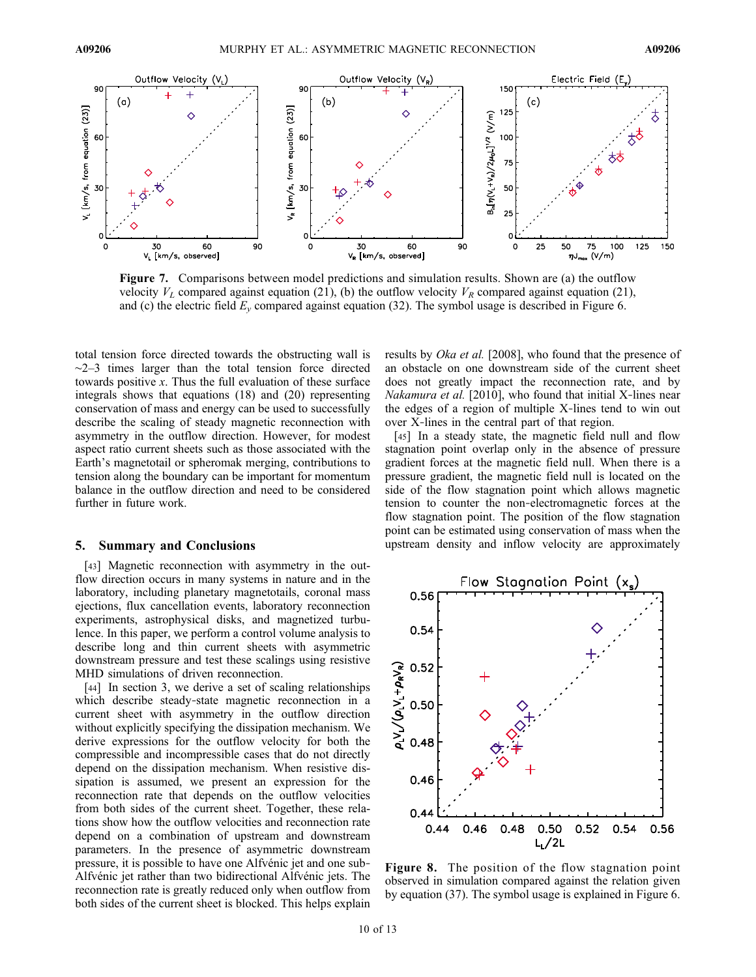

Figure 7. Comparisons between model predictions and simulation results. Shown are (a) the outflow velocity  $V_L$  compared against equation (21), (b) the outflow velocity  $V_R$  compared against equation (21), and (c) the electric field  $E_y$  compared against equation (32). The symbol usage is described in Figure 6.

total tension force directed towards the obstructing wall is ∼2–3 times larger than the total tension force directed towards positive  $x$ . Thus the full evaluation of these surface integrals shows that equations (18) and (20) representing conservation of mass and energy can be used to successfully describe the scaling of steady magnetic reconnection with asymmetry in the outflow direction. However, for modest aspect ratio current sheets such as those associated with the Earth's magnetotail or spheromak merging, contributions to tension along the boundary can be important for momentum balance in the outflow direction and need to be considered further in future work.

#### 5. Summary and Conclusions

[43] Magnetic reconnection with asymmetry in the outflow direction occurs in many systems in nature and in the laboratory, including planetary magnetotails, coronal mass ejections, flux cancellation events, laboratory reconnection experiments, astrophysical disks, and magnetized turbulence. In this paper, we perform a control volume analysis to describe long and thin current sheets with asymmetric downstream pressure and test these scalings using resistive MHD simulations of driven reconnection.

[44] In section 3, we derive a set of scaling relationships which describe steady‐state magnetic reconnection in a current sheet with asymmetry in the outflow direction without explicitly specifying the dissipation mechanism. We derive expressions for the outflow velocity for both the compressible and incompressible cases that do not directly depend on the dissipation mechanism. When resistive dissipation is assumed, we present an expression for the reconnection rate that depends on the outflow velocities from both sides of the current sheet. Together, these relations show how the outflow velocities and reconnection rate depend on a combination of upstream and downstream parameters. In the presence of asymmetric downstream pressure, it is possible to have one Alfvénic jet and one sub‐ Alfvénic jet rather than two bidirectional Alfvénic jets. The reconnection rate is greatly reduced only when outflow from both sides of the current sheet is blocked. This helps explain results by Oka et al. [2008], who found that the presence of an obstacle on one downstream side of the current sheet does not greatly impact the reconnection rate, and by Nakamura et al. [2010], who found that initial X-lines near the edges of a region of multiple X‐lines tend to win out over X‐lines in the central part of that region.

[45] In a steady state, the magnetic field null and flow stagnation point overlap only in the absence of pressure gradient forces at the magnetic field null. When there is a pressure gradient, the magnetic field null is located on the side of the flow stagnation point which allows magnetic tension to counter the non‐electromagnetic forces at the flow stagnation point. The position of the flow stagnation point can be estimated using conservation of mass when the upstream density and inflow velocity are approximately



Figure 8. The position of the flow stagnation point observed in simulation compared against the relation given by equation (37). The symbol usage is explained in Figure 6.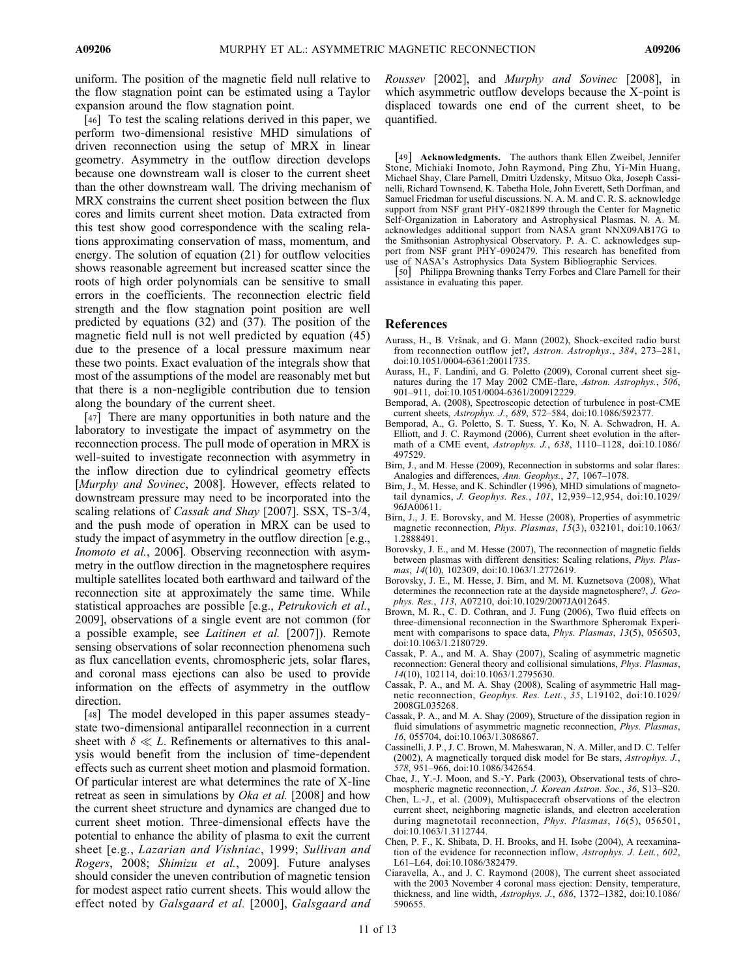uniform. The position of the magnetic field null relative to the flow stagnation point can be estimated using a Taylor expansion around the flow stagnation point.

[46] To test the scaling relations derived in this paper, we perform two‐dimensional resistive MHD simulations of driven reconnection using the setup of MRX in linear geometry. Asymmetry in the outflow direction develops because one downstream wall is closer to the current sheet than the other downstream wall. The driving mechanism of MRX constrains the current sheet position between the flux cores and limits current sheet motion. Data extracted from this test show good correspondence with the scaling relations approximating conservation of mass, momentum, and energy. The solution of equation (21) for outflow velocities shows reasonable agreement but increased scatter since the roots of high order polynomials can be sensitive to small errors in the coefficients. The reconnection electric field strength and the flow stagnation point position are well predicted by equations (32) and (37). The position of the magnetic field null is not well predicted by equation (45) due to the presence of a local pressure maximum near these two points. Exact evaluation of the integrals show that most of the assumptions of the model are reasonably met but that there is a non‐negligible contribution due to tension along the boundary of the current sheet.

[47] There are many opportunities in both nature and the laboratory to investigate the impact of asymmetry on the reconnection process. The pull mode of operation in MRX is well-suited to investigate reconnection with asymmetry in the inflow direction due to cylindrical geometry effects [Murphy and Sovinec, 2008]. However, effects related to downstream pressure may need to be incorporated into the scaling relations of *Cassak and Shay* [2007]. SSX, TS-3/4, and the push mode of operation in MRX can be used to study the impact of asymmetry in the outflow direction [e.g., Inomoto et al., 2006]. Observing reconnection with asymmetry in the outflow direction in the magnetosphere requires multiple satellites located both earthward and tailward of the reconnection site at approximately the same time. While statistical approaches are possible [e.g., Petrukovich et al., 2009], observations of a single event are not common (for a possible example, see Laitinen et al. [2007]). Remote sensing observations of solar reconnection phenomena such as flux cancellation events, chromospheric jets, solar flares, and coronal mass ejections can also be used to provide information on the effects of asymmetry in the outflow direction.

[48] The model developed in this paper assumes steady– state two-dimensional antiparallel reconnection in a current sheet with  $\delta \ll L$ . Refinements or alternatives to this analysis would benefit from the inclusion of time‐dependent effects such as current sheet motion and plasmoid formation. Of particular interest are what determines the rate of X‐line retreat as seen in simulations by *Oka et al.* [2008] and how the current sheet structure and dynamics are changed due to current sheet motion. Three‐dimensional effects have the potential to enhance the ability of plasma to exit the current sheet [e.g., Lazarian and Vishniac, 1999; Sullivan and Rogers, 2008; Shimizu et al., 2009]. Future analyses should consider the uneven contribution of magnetic tension for modest aspect ratio current sheets. This would allow the effect noted by Galsgaard et al. [2000], Galsgaard and

Roussev [2002], and Murphy and Sovinec [2008], in which asymmetric outflow develops because the X-point is displaced towards one end of the current sheet, to be quantified.

[49] **Acknowledgments.** The authors thank Ellen Zweibel, Jennifer Stone, Michiaki Inomoto, John Raymond, Ping Zhu, Yi‐Min Huang, Michael Shay, Clare Parnell, Dmitri Uzdensky, Mitsuo Oka, Joseph Cassinelli, Richard Townsend, K. Tabetha Hole, John Everett, Seth Dorfman, and Samuel Friedman for useful discussions. N. A. M. and C. R. S. acknowledge support from NSF grant PHY‐0821899 through the Center for Magnetic Self‐Organization in Laboratory and Astrophysical Plasmas. N. A. M. acknowledges additional support from NASA grant NNX09AB17G to the Smithsonian Astrophysical Observatory. P. A. C. acknowledges support from NSF grant PHY‐0902479. This research has benefited from

use of NASA's Astrophysics Data System Bibliographic Services. [50] Philippa Browning thanks Terry Forbes and Clare Parnell for their assistance in evaluating this paper.

#### References

- Aurass, H., B. Vršnak, and G. Mann (2002), Shock‐excited radio burst from reconnection outflow jet?, Astron. Astrophys., 384, 273–281, doi:10.1051/0004-6361:20011735.
- Aurass, H., F. Landini, and G. Poletto (2009), Coronal current sheet signatures during the 17 May 2002 CME-flare, Astron. Astrophys., 506, 901–911, doi:10.1051/0004-6361/200912229.
- Bemporad, A. (2008), Spectroscopic detection of turbulence in post‐CME current sheets, Astrophys. J., 689, 572–584, doi:10.1086/592377.
- Bemporad, A., G. Poletto, S. T. Suess, Y. Ko, N. A. Schwadron, H. A. Elliott, and J. C. Raymond (2006), Current sheet evolution in the aftermath of a CME event, Astrophys. J., 638, 1110–1128, doi:10.1086/ 497529.
- Birn, J., and M. Hesse (2009), Reconnection in substorms and solar flares: Analogies and differences, Ann. Geophys., 27, 1067–1078.
- Birn, J., M. Hesse, and K. Schindler (1996), MHD simulations of magnetotail dynamics, J. Geophys. Res., 101, 12,939–12,954, doi:10.1029/ 96JA00611.
- Birn, J., J. E. Borovsky, and M. Hesse (2008), Properties of asymmetric magnetic reconnection, *Phys. Plasmas*, 15(3), 032101, doi:10.1063/ 1.2888491.
- Borovsky, J. E., and M. Hesse (2007), The reconnection of magnetic fields between plasmas with different densities: Scaling relations, Phys. Plasmas,  $14(10)$ , 102309, doi:10.1063/1.2772619.
- Borovsky, J. E., M. Hesse, J. Birn, and M. M. Kuznetsova (2008), What determines the reconnection rate at the dayside magnetosphere?, J. Geophys. Res., 113, A07210, doi:10.1029/2007JA012645.
- Brown, M. R., C. D. Cothran, and J. Fung (2006), Two fluid effects on three‐dimensional reconnection in the Swarthmore Spheromak Experiment with comparisons to space data, Phys. Plasmas, 13(5), 056503, doi:10.1063/1.2180729.
- Cassak, P. A., and M. A. Shay (2007), Scaling of asymmetric magnetic reconnection: General theory and collisional simulations, Phys. Plasmas, 14(10), 102114, doi:10.1063/1.2795630.
- Cassak, P. A., and M. A. Shay (2008), Scaling of asymmetric Hall magnetic reconnection, Geophys. Res. Lett., 35, L19102, doi:10.1029/ 2008GL035268.
- Cassak, P. A., and M. A. Shay (2009), Structure of the dissipation region in fluid simulations of asymmetric magnetic reconnection, Phys. Plasmas, 16, 055704, doi:10.1063/1.3086867.
- Cassinelli, J. P., J. C. Brown, M. Maheswaran, N. A. Miller, and D. C. Telfer (2002), A magnetically torqued disk model for Be stars, Astrophys. J., 578, 951–966, doi:10.1086/342654.
- Chae, J., Y.‐J. Moon, and S.‐Y. Park (2003), Observational tests of chromospheric magnetic reconnection, *J. Korean Astron. Soc.*, 36, S13–S20.
- Chen, L.‐J., et al. (2009), Multispacecraft observations of the electron current sheet, neighboring magnetic islands, and electron acceleration during magnetotail reconnection, Phys. Plasmas, 16(5), 056501, doi:10.1063/1.3112744.
- Chen, P. F., K. Shibata, D. H. Brooks, and H. Isobe (2004), A reexamination of the evidence for reconnection inflow, Astrophys. J. Lett., 602, L61–L64, doi:10.1086/382479.
- Ciaravella, A., and J. C. Raymond (2008), The current sheet associated with the 2003 November 4 coronal mass ejection: Density, temperature, thickness, and line width, Astrophys. J., 686, 1372–1382, doi:10.1086/ 590655.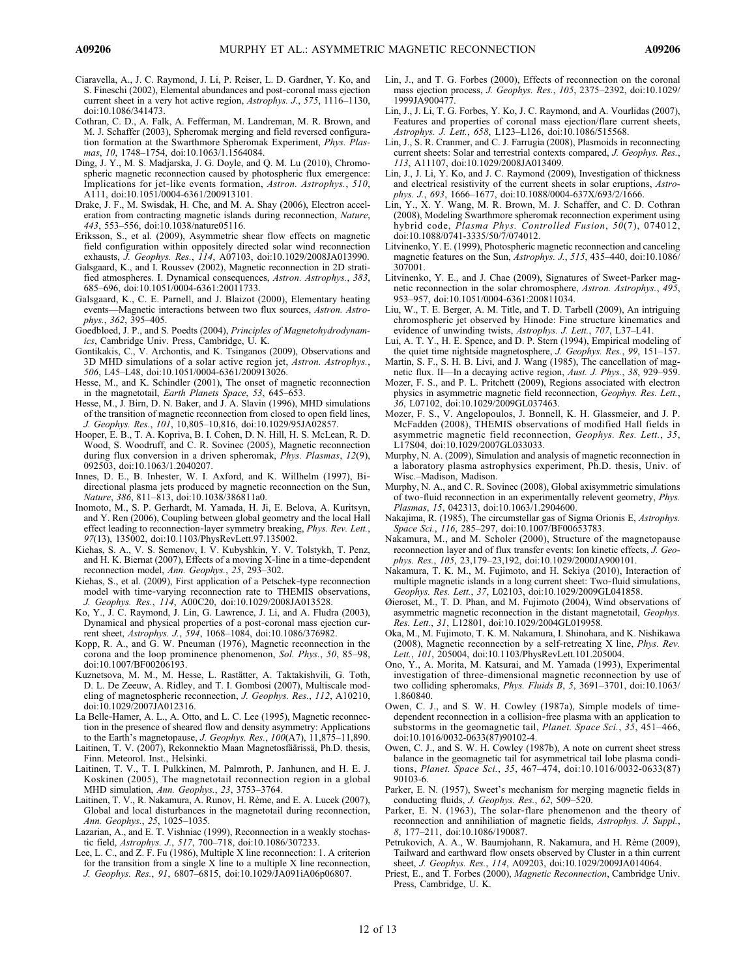- Ciaravella, A., J. C. Raymond, J. Li, P. Reiser, L. D. Gardner, Y. Ko, and S. Fineschi (2002), Elemental abundances and post-coronal mass ejection current sheet in a very hot active region, Astrophys. J., 575, 1116–1130, doi:10.1086/341473.
- Cothran, C. D., A. Falk, A. Fefferman, M. Landreman, M. R. Brown, and M. J. Schaffer (2003), Spheromak merging and field reversed configuration formation at the Swarthmore Spheromak Experiment, Phys. Plasmas, 10, 1748-1754, doi:10.1063/1.1564084.
- Ding, J. Y., M. S. Madjarska, J. G. Doyle, and Q. M. Lu (2010), Chromospheric magnetic reconnection caused by photospheric flux emergence: Implications for jet-like events formation, Astron. Astrophys., 510, A111, doi:10.1051/0004-6361/200913101.
- Drake, J. F., M. Swisdak, H. Che, and M. A. Shay (2006), Electron acceleration from contracting magnetic islands during reconnection, Nature, 443, 553–556, doi:10.1038/nature05116.
- Eriksson, S., et al. (2009), Asymmetric shear flow effects on magnetic field configuration within oppositely directed solar wind reconnection exhausts, J. Geophys. Res., 114, A07103, doi:10.1029/2008JA013990.
- Galsgaard, K., and I. Roussev (2002), Magnetic reconnection in 2D stratified atmospheres. I. Dynamical consequences, Astron. Astrophys., 383, 685–696, doi:10.1051/0004-6361:20011733.
- Galsgaard, K., C. E. Parnell, and J. Blaizot (2000), Elementary heating events—Magnetic interactions between two flux sources, Astron. Astrophys., 362, 395–405.
- Goedbloed, J. P., and S. Poedts (2004), Principles of Magnetohydrodynamics, Cambridge Univ. Press, Cambridge, U. K.
- Gontikakis, C., V. Archontis, and K. Tsinganos (2009), Observations and 3D MHD simulations of a solar active region jet, Astron. Astrophys., 506, L45–L48, doi:10.1051/0004-6361/200913026.
- Hesse, M., and K. Schindler (2001), The onset of magnetic reconnection in the magnetotail, Earth Planets Space, 53, 645–653.
- Hesse, M., J. Birn, D. N. Baker, and J. A. Slavin (1996), MHD simulations of the transition of magnetic reconnection from closed to open field lines, J. Geophys. Res., 101, 10,805–10,816, doi:10.1029/95JA02857.
- Hooper, E. B., T. A. Kopriva, B. I. Cohen, D. N. Hill, H. S. McLean, R. D. Wood, S. Woodruff, and C. R. Sovinec (2005), Magnetic reconnection during flux conversion in a driven spheromak, Phys. Plasmas, 12(9), 092503, doi:10.1063/1.2040207.
- Innes, D. E., B. Inhester, W. I. Axford, and K. Willhelm (1997), Bidirectional plasma jets produced by magnetic reconnection on the Sun, Nature, 386, 811–813, doi:10.1038/386811a0.
- Inomoto, M., S. P. Gerhardt, M. Yamada, H. Ji, E. Belova, A. Kuritsyn, and Y. Ren (2006), Coupling between global geometry and the local Hall effect leading to reconnection-layer symmetry breaking, Phys. Rev. Lett., 97(13), 135002, doi:10.1103/PhysRevLett.97.135002.
- Kiehas, S. A., V. S. Semenov, I. V. Kubyshkin, Y. V. Tolstykh, T. Penz, and H. K. Biernat (2007), Effects of a moving X‐line in a time‐dependent reconnection model, Ann. Geophys., 25, 293-302.
- Kiehas, S., et al. (2009), First application of a Petschek‐type reconnection model with time‐varying reconnection rate to THEMIS observations, J. Geophys. Res., 114, A00C20, doi:10.1029/2008JA013528.
- Ko, Y., J. C. Raymond, J. Lin, G. Lawrence, J. Li, and A. Fludra (2003), Dynamical and physical properties of a post‐coronal mass ejection current sheet, Astrophys. J., 594, 1068–1084, doi:10.1086/376982.
- Kopp, R. A., and G. W. Pneuman (1976), Magnetic reconnection in the corona and the loop prominence phenomenon, Sol. Phys., 50, 85–98, doi:10.1007/BF00206193.
- Kuznetsova, M. M., M. Hesse, L. Rastätter, A. Taktakishvili, G. Toth, D. L. De Zeeuw, A. Ridley, and T. I. Gombosi (2007), Multiscale modeling of magnetospheric reconnection, J. Geophys. Res., 112, A10210, doi:10.1029/2007JA012316.
- La Belle-Hamer, A. L., A. Otto, and L. C. Lee (1995), Magnetic reconnection in the presence of sheared flow and density asymmetry: Applications to the Earth's magnetopause, J. Geophys. Res., 100(A7), 11,875–11,890.
- Laitinen, T. V. (2007), Rekonnektio Maan Magnetosfäärissä, Ph.D. thesis, Finn. Meteorol. Inst., Helsinki.
- Laitinen, T. V., T. I. Pulkkinen, M. Palmroth, P. Janhunen, and H. E. J. Koskinen (2005), The magnetotail reconnection region in a global MHD simulation, Ann. Geophys., 23, 3753–3764.
- Laitinen, T. V., R. Nakamura, A. Runov, H. Rème, and E. A. Lucek (2007), Global and local disturbances in the magnetotail during reconnection, Ann. Geophys., 25, 1025–1035.
- Lazarian, A., and E. T. Vishniac (1999), Reconnection in a weakly stochastic field, Astrophys. J., 517, 700–718, doi:10.1086/307233.
- Lee, L. C., and Z. F. Fu (1986), Multiple X line reconnection: 1. A criterion for the transition from a single X line to a multiple X line reconnection, J. Geophys. Res., 91, 6807–6815, doi:10.1029/JA091iA06p06807.
- Lin, J., and T. G. Forbes (2000), Effects of reconnection on the coronal mass ejection process, J. Geophys. Res., 105, 2375–2392, doi:10.1029/ 1999JA900477.
- Lin, J., J. Li, T. G. Forbes, Y. Ko, J. C. Raymond, and A. Vourlidas (2007), Features and properties of coronal mass ejection/flare current sheets, Astrophys. J. Lett., 658, L123–L126, doi:10.1086/515568.
- Lin, J., S. R. Cranmer, and C. J. Farrugia (2008), Plasmoids in reconnecting current sheets: Solar and terrestrial contexts compared, J. Geophys. Res., 113, A11107, doi:10.1029/2008JA013409.
- Lin, J., J. Li, Y. Ko, and J. C. Raymond (2009), Investigation of thickness and electrical resistivity of the current sheets in solar eruptions, Astrophys. J., 693, 1666–1677, doi:10.1088/0004-637X/693/2/1666.
- Lin, Y., X. Y. Wang, M. R. Brown, M. J. Schaffer, and C. D. Cothran (2008), Modeling Swarthmore spheromak reconnection experiment using hybrid code, Plasma Phys. Controlled Fusion, 50(7), 074012, doi:10.1088/0741-3335/50/7/074012.
- Litvinenko, Y. E. (1999), Photospheric magnetic reconnection and canceling magnetic features on the Sun, Astrophys. J., 515, 435–440, doi:10.1086/ 307001.
- Litvinenko, Y. E., and J. Chae (2009), Signatures of Sweet‐Parker magnetic reconnection in the solar chromosphere, Astron. Astrophys., 495, 953–957, doi:10.1051/0004-6361:200811034.
- Liu, W., T. E. Berger, A. M. Title, and T. D. Tarbell (2009), An intriguing chromospheric jet observed by Hinode: Fine structure kinematics and evidence of unwinding twists, Astrophys. J. Lett., 707, L37–L41.
- Lui, A. T. Y., H. E. Spence, and D. P. Stern (1994), Empirical modeling of the quiet time nightside magnetosphere, J. Geophys. Res., 99, 151–157.
- Martin, S. F., S. H. B. Livi, and J. Wang (1985), The cancellation of magnetic flux. II—In a decaying active region, Aust. J. Phys., 38, 929–959.
- Mozer, F. S., and P. L. Pritchett (2009), Regions associated with electron physics in asymmetric magnetic field reconnection, Geophys. Res. Lett., 36, L07102, doi:10.1029/2009GL037463.
- Mozer, F. S., V. Angelopoulos, J. Bonnell, K. H. Glassmeier, and J. P. McFadden (2008), THEMIS observations of modified Hall fields in asymmetric magnetic field reconnection, Geophys. Res. Lett., 35, L17S04, doi:10.1029/2007GL033033.
- Murphy, N. A. (2009), Simulation and analysis of magnetic reconnection in a laboratory plasma astrophysics experiment, Ph.D. thesis, Univ. of Wisc.–Madison, Madison.
- Murphy, N. A., and C. R. Sovinec (2008), Global axisymmetric simulations of two‐fluid reconnection in an experimentally relevent geometry, Phys. Plasmas, 15, 042313, doi:10.1063/1.2904600.
- Nakajima, R. (1985), The circumstellar gas of Sigma Orionis E, Astrophys. Space Sci., 116, 285-297, doi:10.1007/BF00653783.
- Nakamura, M., and M. Scholer (2000), Structure of the magnetopause reconnection layer and of flux transfer events: Ion kinetic effects, J. Geophys. Res., 105, 23,179–23,192, doi:10.1029/2000JA900101.
- Nakamura, T. K. M., M. Fujimoto, and H. Sekiya (2010), Interaction of multiple magnetic islands in a long current sheet: Two‐fluid simulations, Geophys. Res. Lett., 37, L02103, doi:10.1029/2009GL041858.
- Øieroset, M., T. D. Phan, and M. Fujimoto (2004), Wind observations of asymmetric magnetic reconnection in the distant magnetotail, Geophys. Res. Lett., 31, L12801, doi:10.1029/2004GL019958.
- Oka, M., M. Fujimoto, T. K. M. Nakamura, I. Shinohara, and K. Nishikawa (2008), Magnetic reconnection by a self-retreating X line, Phys. Rev. Lett., 101, 205004, doi:10.1103/PhysRevLett.101.205004.
- Ono, Y., A. Morita, M. Katsurai, and M. Yamada (1993), Experimental investigation of three‐dimensional magnetic reconnection by use of two colliding spheromaks, Phys. Fluids B, 5, 3691–3701, doi:10.1063/ 1.860840.
- Owen, C. J., and S. W. H. Cowley (1987a), Simple models of timedependent reconnection in a collision‐free plasma with an application to substorms in the geomagnetic tail, *Planet. Space Sci.*, 35, 451–466, doi:10.1016/0032-0633(87)90102-4.
- Owen, C. J., and S. W. H. Cowley (1987b), A note on current sheet stress balance in the geomagnetic tail for asymmetrical tail lobe plasma conditions, Planet. Space Sci., 35, 467–474, doi:10.1016/0032-0633(87) 90103-6.
- Parker, E. N. (1957), Sweet's mechanism for merging magnetic fields in conducting fluids, J. Geophys. Res., 62, 509–520.
- Parker, E. N. (1963), The solar‐flare phenomenon and the theory of reconnection and annihiliation of magnetic fields, Astrophys. J. Suppl., 8, 177–211, doi:10.1086/190087.
- Petrukovich, A. A., W. Baumjohann, R. Nakamura, and H. Rème (2009), Tailward and earthward flow onsets observed by Cluster in a thin current sheet, J. Geophys. Res., 114, A09203, doi:10.1029/2009JA014064.
- Priest, E., and T. Forbes (2000), Magnetic Reconnection, Cambridge Univ. Press, Cambridge, U. K.